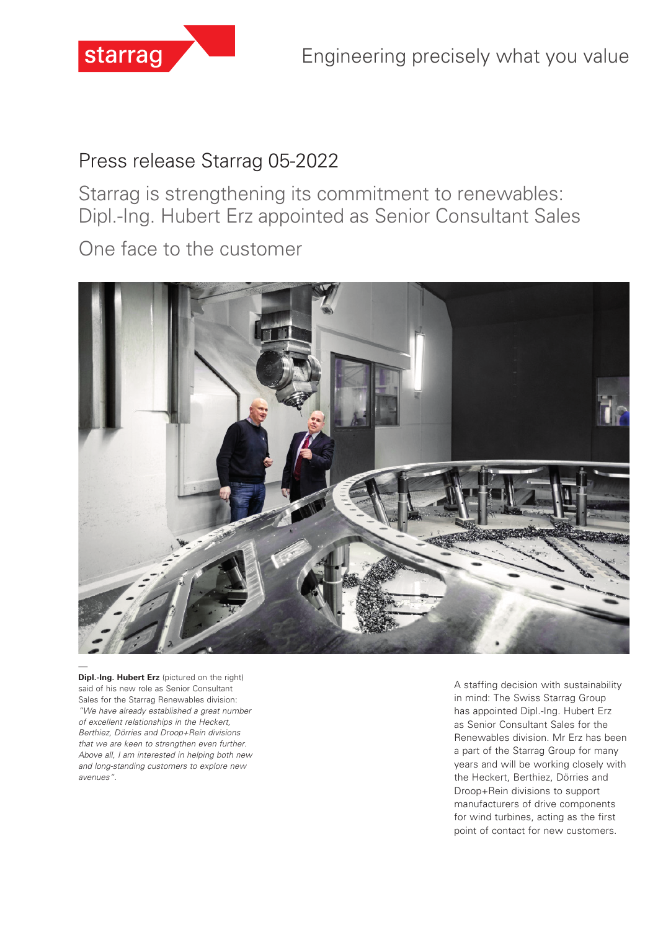

# Press release Starrag 05-2022

Starrag is strengthening its commitment to renewables: Dipl.-Ing. Hubert Erz appointed as Senior Consultant Sales

One face to the customer



**Dipl.-Ing. Hubert Erz** (pictured on the right) said of his new role as Senior Consultant Sales for the Starrag Renewables division: *"We have already established a great number of excellent relationships in the Heckert, Berthiez, Dörries and Droop+Rein divisions that we are keen to strengthen even further. Above all, I am interested in helping both new and long-standing customers to explore new avenues".* 

A staffing decision with sustainability in mind: The Swiss Starrag Group has appointed Dipl.-Ing. Hubert Erz as Senior Consultant Sales for the Renewables division. Mr Erz has been a part of the Starrag Group for many years and will be working closely with the Heckert, Berthiez, Dörries and Droop+Rein divisions to support manufacturers of drive components for wind turbines, acting as the first point of contact for new customers.